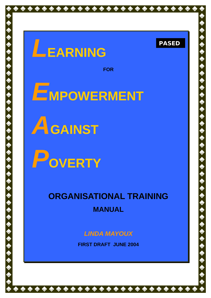◈

◈

◈

 $\Leftrightarrow$ 

◈

◈

◈



**FOR** 

**PASED**

◈

 $\color{red}\blacklozenge$ 

めめめめめゆめめめめめめありあめめめめやややややややや

めめめめめ

 $\diamondsuit$   $\diamondsuit$ 

*E***MPOWERMENT**





# **ORGANISATIONAL TRAINING MANUAL**

*LINDA MAYOUX* 

**FIRST DRAFT JUNE 2004** 

 $\color{blue}\blacklozenge\color{blue}\blacklozenge\color{blue}\blacklozenge\color{blue}\blacklozenge\color{blue}\blacklozenge\color{blue}\blacklozenge\color{blue}\blacklozenge\color{blue}\blacklozenge\color{blue}\blacklozenge\color{blue}\blacklozenge\color{blue}\blacklozenge\color{blue}\blacklozenge\color{blue}\blacklozenge\color{blue}\blacklozenge\color{blue}\blacklozenge\color{blue}\blacklozenge\color{blue}\blacklozenge\color{blue}\blacklozenge\color{blue}\blacklozenge\color{blue}\blacklozenge\color{blue}\blacklozenge\color{blue}\blacklozenge\color{blue}\blacklozenge\color{blue}\blacklozenge\color{blue$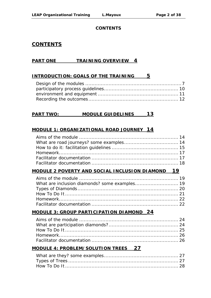#### *CONTENTS*

# **CONTENTS**

#### **PART ONE TRAINING OVERVIEW 4**

#### **INTRODUCTION: GOALS OF THE TRAINING 5**

#### **PART TWO: MODULE GUIDELINES 13**

#### **MODULE 1: ORGANIZATIONAL ROAD JOURNEY 14**

#### **MODULE 2 POVERTY AND SOCIAL INCLUSION DIAMOND 19**

#### **MODULE 3: GROUP PARTICIPATION DIAMOND 24**

### **MODULE 4: PROBLEM/SOLUTION TREES 27**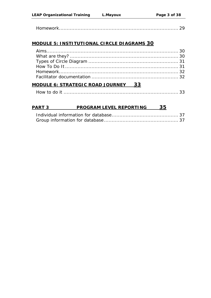#### **MODULE 5: INSTITUTIONAL CIRCLE DIAGRAMS 30**

| $1001$ UE (CTDATECIO DOAD IOUDNEY 22 |  |
|--------------------------------------|--|

#### **MODULE 6: STRATEGIC ROAD JOURNEY 33**

|--|--|

# **PART 3 PROGRAM LEVEL REPORTING 35**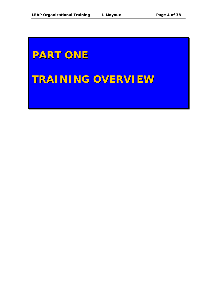# **PART ONE**

# **TRAINING OVERVIEW**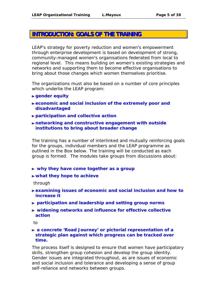# **INTRODUCTION: GOALS OF THE TRAINING**

LEAP's strategy for poverty reduction and women's empowerment through enterprise development is based on development of strong, community-managed women's organisations federated from local to regional level. This means building on women's existing strategies and networks and supporting them to become effective organisations to bring about those changes which women themselves prioritise.

The organizations must also be based on a number of core principles which underlie the LEAP program:

- *gender equity*
- *economic and social inclusion of the extremely poor and disadvantaged*
- *participation and collective action*
- *networking and constructive engagement with outside institutions to bring about broader change*

The training has a number of interlinked and mutually reinforcing goals for the groups, individual members and the LEAP programme as outlined in the Box below. The training will be conducted as each group is formed. The modules take groups from discussions about:

- *why they have come together as a group*
- *what they hope to achieve*

through

- *examining issues of economic and social inclusion and how to increase it*
- *participation and leadership and setting group norms*
- *widening networks and influence for effective collective action*

to

 *a concrete 'Road Journey' or pictorial representation of a strategic plan against which progress can be tracked over time.* 

The process itself is designed to ensure that women have participatory skills, strengthen group cohesion and develop the group identity. Gender issues are integrated throughout, as are issues of economic and social inclusion and tolerance and developing a sense of group self-reliance and networks between groups.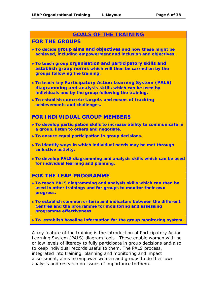# *GOALS OF THE TRAINING*

# *FOR THE GROUPS*

- *To decide group aims and objectives and how these might be achieved, including empowerment and inclusion and objectives.*
- *To teach group organisation and participatory skills and establish group norms which will then be carried on by the groups following the training.*
- *To teach key Participatory Action Learning System (PALS) diagramming and analysis skills which can be used by individuals and by the group following the training.*
- *To establish concrete targets and means of tracking achievements and challenges.*

# *FOR INDIVIDUAL GROUP MEMBERS*

- *To develop participation skills to increase ability to communicate in a group, listen to others and negotiate.*
- *To ensure equal participation in group decisions.*
- *To identify ways in which individual needs may be met through collective activity.*
- *To develop PALS diagramming and analysis skills which can be used for individual learning and planning.*

# *FOR THE LEAP PROGRAMME*

- *To teach PALS diagramming and analysis skills which can then be used in other trainings and for groups to monitor their own progress.*
- *To establish common criteria and indicators between the different Centres and the programme for monitoring and assessing programme effectiveness.*
- *To establish baseline information for the group monitoring system.*

A key feature of the training is the introduction of Participatory Action Learning System (PALS) diagram tools. These enable women with no or low levels of literacy to fully participate in group decisions and also to keep individual records useful to them. The PALS process, integrated into training, planning and monitoring and impact assessment, aims to empower women and groups to do their own analysis and research on issues of importance to them.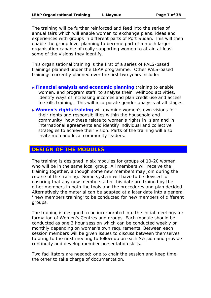The training will be further reinforced and feed into the series of annual fairs which will enable women to exchange plans, ideas and experiences with groups in different parts of Port Sudan. This will then enable the group level planning to become part of a much larger organisation capable of really supporting women to attain at least some of the visions they identify.

This organisational training is the first of a series of PALS-based trainings planned under the LEAP programme. Other PALS-based trainings currently planned over the first two years include:

- *Financial analysis and economic planning* training to enable women, and program staff, to analyse their livelihood activities, identify ways of increasing incomes and plan credit use and access to skills training. This will incorporate gender analysis at all stages.
- *Women's rights training* will examine women's own visions for their rights and responsibilities within the household and community, how these relate to women's rights in Islam and in international agreements and identify individual and collective strategies to achieve their vision. Parts of the training will also invite men and local community leaders.

#### **DESIGN OF THE MODULES**

The training is designed in six modules for groups of 10-20 women who will be in the same local group. All members will receive the training together, although some new members may join during the course of the training. Some system will have to be devised for ensuring that any new members after this date are trained by the other members in both the tools and the procedures and plan decided. Alternatively the material can be adapted at a later date into a general ' new members training' to be conducted for new members of different groups.

The training is designed to be incorporated into the initial meetings for formation of Women's Centres and groups. Each module should be conducted as one 3 hour session which can be conducted weekly or monthly depending on women's own requirements. Between each session members will be given issues to discuss between themselves to bring to the next meeting to follow up on each Session and provide continuity and develop member presentation skills.

Two facilitators are needed: one to chair the session and keep time, the other to take charge of documentation.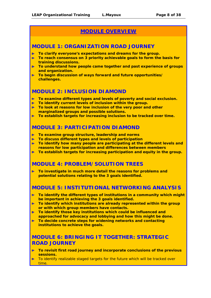# *MODULE OVERVIEW*

# *MODULE 1: ORGANIZATION ROAD JOURNEY*

- *To clarify everyone's expectations and dreams for the group.*
- *To reach consensus on 3 priority achievable goals to form the basis for*  b» *training discussions.*
- *To understand how people came together and past experience of groups and organization.*
- *To begin discussion of ways forward and future opportunities/ challenges.*

# *MODULE 2: INCLUSION DIAMOND*

- *To examine different types and levels of poverty and social exclusion.*
- *To identify current levels of inclusion within the group.*  Þ
- *To look at reasons for low inclusion of the very poor and other*  Þ *marginalized groups and possible solutions.*
- *To establish targets for increasing inclusion to be tracked over time.*  Þ

### *MODULE 3: PARTICIPATION DIAMOND*

- *To examine group structure, leadership and norms*
- *To discuss different types and levels of participation*
- b. *To identify how many people are participating at the different levels and reasons for low participation and differences between members*
- *To establish targets for increasing participation and equity in the group.*  Þ.

# *MODULE 4: PROBLEM/SOLUTION TREES*

*To investigate in much more detail the reasons for problems and potential solutions relating to the 3 goals identified.* 

# *MODULE 5: INSTITUTIONAL NETWORKING ANALYSIS*

- *To identify the different types of institutions in a community which might be important in achieving the 3 goals identified.*
- *To identify which institutions are already represented within the group or with which group members have contacts.*
- *To identify those key institutions which could be influenced and*  Þ *approached for advocacy and lobbying and how this might be done.*
- *To decide concrete steps for widening networks and contacting*  b. *institutions to achieve the goals.*

# *MODULE 6: BRINGING IT TOGETHER: STRATEGIC ROAD JOURNEY*

- *To revisit first road journey and incorporate conclusions of the previous sessions.*
- To identify realizable staged targets for the future which will be tracked over time.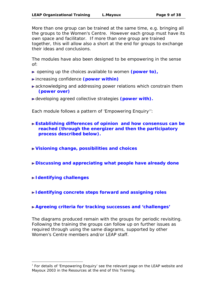More than one group can be trained at the same time, e.g. bringing all the groups to the Women's Centre. However each group must have its own space and facilitator. If more than one group are trained together, this will allow also a short at the end for groups to exchange their ideas and conclusions.

The modules have also been designed to be empowering in the sense of:

- opening up the choices available to women *(power to)*,
- increasing confidence *(power within)*
- **acknowledging and addressing power relations which constrain them** *(power over)*
- developing agreed collective strategies *(power with).*

Each module follows a pattern of 'Empowering Enquiry':

#### *Establishing differences of opinion and how consensus can be reached (through the energizer and then the participatory process described below).*

- *Visioning change, possibilities and choices*
- *Discussing and appreciating what people have already done*
- *Identifying challenges*

-

- *Identifying concrete steps forward and assigning roles*
- *Agreeing criteria for tracking successes and 'challenges'*

The diagrams produced remain with the groups for periodic revisiting. Following the training the groups can follow up on further issues as required through using the same diagrams, supported by other Women's Centre members and/or LEAP staff.

 $1$  For details of 'Empowering Enquiry' see the relevant page on the LEAP website and Mayoux 2003 in the Resources at the end of this Training.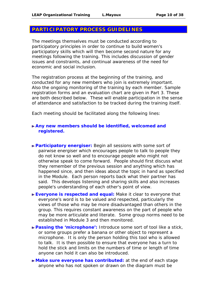#### **PARTICIPATORY PROCESS GUIDELINES**

The meetings themselves must be conducted according to participatory principles in order to continue to build women's participatory skills which will then become second nature for any meetings following the training. This includes discussion of gender issues and constraints, and continual awareness of the need for economic and social inclusion.

The registration process at the beginning of the training, and conducted for any new members who join is extremely important. Also the ongoing monitoring of the training by each member. Sample registration forms and an evaluation chart are given in Part 3. These are both described below. These will enable participation in the sense of attendance and satisfaction to be tracked during the training itself.

Each meeting should be facilitated along the following lines:

#### *Any new members should be identified, welcomed and registered.*

- **Participatory energiser:** Begin all sessions with some sort of pairwise energiser which encourages people to talk to people they do not know so well and to encourage people who might not otherwise speak to come forward. People should first discuss what they remember of the previous session and anything which has happened since, and then ideas about the topic in hand as specified in the Module. Each person reports back what their partner has said. This develops listening and sharing skills and also increases people's understanding of each other's point of view.
- **Everyone is respected and equal:** Make it clear to everyone that everyone's word is to be valued and respected, particularly the views of those who may be more disadvantaged than others in the group. This requires constant awareness on the part of people who may be more articulate and literate. Some group norms need to be established in Module 3 and then monitored.
- **Passing the 'microphone':** Introduce some sort of tool like a stick, or some groups prefer a banana or other object to represent a microphone. It is only the person holding this tool who is allowed to talk. It is then possible to ensure that everyone has a turn to hold the stick and limits on the numbers of time or length of time anyone can hold it can also be introduced.
- *Make sure everyone has contributed:* at the end of each stage anyone who has not spoken or drawn on the diagram must be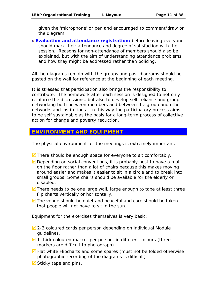given the 'microphone' or pen and encouraged to comment/draw on the diagram.

*Evaluation and attendance registration:* before leaving everyone should mark their attendance and degree of satisfaction with the session. Reasons for non-attendance of members should also be explained, but with the aim of understanding attendance problems and how they might be addressed rather than policing.

All the diagrams remain with the groups and past diagrams should be pasted on the wall for reference at the beginning of each meeting.

It is stressed that participation also brings the responsibility to contribute. The homework after each session is designed to not only reinforce the discussions, but also to develop self-reliance and group networking both between members and between the group and other networks and institutions. In this way the participatory process aims to be self sustainable as the basis for a long-term process of collective action for change and poverty reduction.

### **ENVIRONMENT AND EQUIPMENT**

The physical environment for the meetings is extremely important.

- $\blacksquare$  There should be enough space for everyone to sit comfortably.
- $\blacksquare$  Depending on social conventions, it is probably best to have a mat on the floor rather than a lot of chairs because this makes moving around easier and makes it easier to sit in a circle and to break into small groups. Some chairs should be available for the elderly or disabled.
- $\overline{9}$  There needs to be one large wall, large enough to tape at least three flip charts vertically or horizontally.
- $\overline{9}$  The venue should be quiet and peaceful and care should be taken that people will not have to sit in the sun.

Equipment for the exercises themselves is very basic:

- $\sqrt{2}$  2-3 coloured cards per person depending on individual Module guidelines.
- $\overline{9}$  1 thick coloured marker per person, in different colours (three markers are difficult to photograph).
- $\blacksquare$  Flat white Flipcharts and some spares (must not be folded otherwise photographic recording of the diagrams is difficult)
- $\triangledown$  Sticky tape and pins.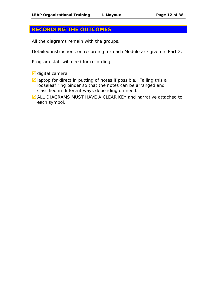#### **RECORDING THE OUTCOMES**

All the diagrams remain with the groups.

Detailed instructions on recording for each Module are given in Part 2.

Program staff will need for recording:

- $\blacksquare$  digital camera
- $\blacksquare$  laptop for direct in putting of notes if possible. Failing this a looseleaf ring binder so that the notes can be arranged and classified in different ways depending on need.
- **Z** ALL DIAGRAMS MUST HAVE A CLEAR KEY and narrative attached to each symbol.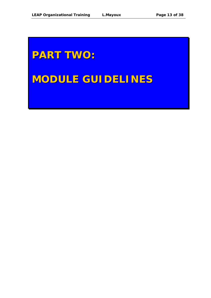# **PART TWO:**

# **MODULE GUIDELINES**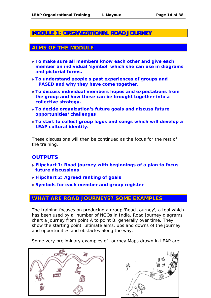# **MODULE 1: ORGANIZATIONAL ROAD JOURNEY**

# **AIMS OF THE MODULE**

- *To make sure all members know each other and give each member an individual 'symbol' which she can use in diagrams and pictorial forms.*
- *To understand people's past experiences of groups and PASED and why they have come together.*
- *To discuss individual members hopes and expectations from the group and how these can be brought together into a collective strategy.*
- *To decide organization's future goals and discuss future opportunities/challenges*
- *To start to collect group logos and songs which will develop a LEAP cultural identity.*

These discussions will then be continued as the focus for the rest of the training.

# *OUTPUTS*

- *Flipchart 1: Road journey with beginnings of a plan to focus future discussions*
- *Flipchart 2: Agreed ranking of goals*
- *Symbols for each member and group register*

### **WHAT ARE ROAD JOURNEYS? SOME EXAMPLES**

The training focuses on producing a group 'Road Journey', a tool which has been used by a number of NGOs in India. Road journey diagrams chart a journey from point A to point B, generally over time. They show the starting point, ultimate aims, ups and downs of the journey and opportunities and obstacles along the way.

Some very preliminary examples of Journey Maps drawn in LEAP are:



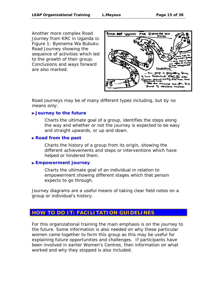Another more complex Road Journey from KRC in Uganda is: Figure 1: Byenema Wa Bubuku Road Journey showing the sequence of activities which led to the growth of their group. Conclusions and ways forward are also marked.



Road journeys may be of many different types including, but by no means only:

#### *Journey to the future*

Charts the ultimate goal of a group, identifies the steps along the way and whether or not the journey is expected to be easy and straight upwards, or up and down.

#### *Road from the past*

Charts the history of a group from its origin, showing the different achievements and steps or interventions which have helped or hindered them.

#### *Empowerment journey*

Charts the ultimate goal of an individual in relation to empowerment showing different stages which that person expects to go through.

Journey diagrams are a useful means of taking clear field notes on a group or individual's history.

# **HOW TO DO IT: FACILITATION GUIDELINES**

For this organizational training the main emphasis is on the journey to the future. Some information is also needed on why these particular women came together to form this group as this may be useful for explaining future opportunities and challenges. If participants have been involved in earlier Women's Centres, then information on what worked and why they stopped is also included.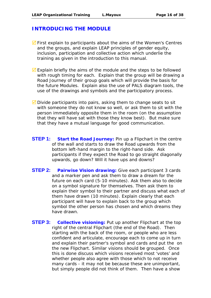# *INTRODUCING THE MODULE*

- $\blacksquare$  First explain to participants about the aims of the Women's Centres and the groups, and explain LEAP principles of gender equity, inclusion, participation and collective action which underlie the training as given in the introduction to this manual.
- $\blacksquare$  Explain briefly the aims of the module and the steps to be followed with rough timing for each. Explain that the group will be drawing a Road Journey of their group goals which will provide the basis for the future Modules. Explain also the use of PALS diagram tools, the use of the drawings and symbols and the participatory process.
- $\overline{9}$  Divide participants into pairs, asking them to change seats to sit with someone they do not know so well, or ask them to sit with the person immediately opposite them in the room (on the assumption that they will have sat with those they know best). But make sure that they have a mutual language for good communication.
- **STEP 1:** *Start the Road Journey:* Pin up a Flipchart in the centre of the wall and starts to draw the Road upwards from the bottom left-hand margin to the right-hand side. Ask participants if they expect the Road to go straight diagonally upwards, go down? Will it have ups and downs?
- **STEP 2:** *Pairwise Vision drawing:* Give each participant 3 cards and a marker pen and ask them to draw a dream for the future on each card (5-10 minutes). Ask them also to decide on a symbol signature for themselves. Then ask them to explain their symbol to their partner and discuss what each of them have drawn (10 minutes). Explain clearly that each participant will have to explain back to the group which symbol the other person has chosen and which dreams they have drawn.
- **STEP 3:** *Collective visioning:* Put up another Flipchart at the top right of the central Flipchart (the end of the Road). Then starting with the back of the room, or people who are less confident and articulate, encourage each to come up in turn and explain their partner's symbol and cards and put the on the new Flipchart. Similar visions should be grouped. Once this is done discuss which visions received most 'votes' and whether people also agree with those which to not receive many cards - it may not be because these are unimportant, but simply people did not think of them. Then have a show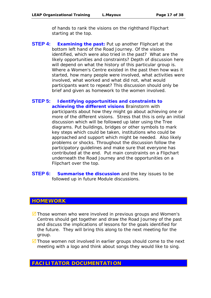of hands to rank the visions on the righthand Flipchart starting at the top.

**STEP 4:** *Examining the past:* Put up another Fliphcart at the bottom left hand of the Road Journey. Of the visions identified, which were also tried in the past? What are the likely opportunities and constraints? Depth of discussion here will depend on what the history of this particular group is. Where a Women's Centre existed in the past then how was it started, how many people were involved, what activities were involved, what worked and what did not, what would participants want to repeat? This discussion should only be brief and given as homework to the women involved.

#### **STEP 5:** *Identifying opportunities and constraints to achieving the different visions* Brainstorm with

participants about how they might go about achieving one or more of the different visions. Stress that this is only an initial discussion which will be followed up later using the Tree diagrams. Put buildings, bridges or other symbols to mark key steps which could be taken, institutions who could be approached and support which might be needed. Also likely problems or shocks. Throughout the discussion follow the participatory guidelines and make sure that everyone has contributed at the end. Put main constraints on a Flipchart underneath the Road Journey and the opportunities on a Flipchart over the top.

**STEP 6:** *Summarise the discussion* and the key issues to be followed up in future Module discussions.

# **HOMEWORK**

- $\blacksquare$  Those women who were involved in previous groups and Women's Centres should get together and draw the Road Journey of the past and discuss the implications of lessons for the goals identified for the future. They will bring this along to the next meeting for the group.
- $\blacksquare$  Those women not involved in earlier groups should come to the next meeting with a logo and think about songs they would like to sing.

# **FACILITATOR DOCUMENTATION**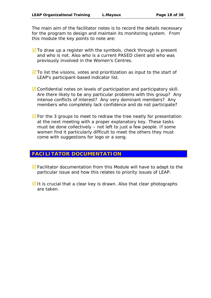The main aim of the facilitator notes is to record the details necessary for the program to design and maintain its monitoring system. From this module the key points to note are:

- $\overline{9}$  To draw up a register with the symbols, check through is present and who is not. Also who is a current PASED client and who was previously involved in the Women's Centres.
- $\blacksquare$  To list the visions, votes and prioritization as input to the start of LEAP's participant-based indicator list.
- $\overline{\mathbf{y}}$  Confidential notes on levels of participation and participatory skill. Are there likely to be any particular problems with this group? Any intense conflicts of interest? Any very dominant members? Any members who completely lack confidence and do not participate?
- $\blacksquare$  For the 3 groups to meet to redraw the tree neatly for presentation at the next meeting with a proper explanatory key. These tasks must be done collectively – not left to just a few people. If some women find it particularly difficult to meet the others they must come with suggestions for logo or a song.

# **FACILITATOR DOCUMENTATION**

- $\blacksquare$  Facilitator documentation from this Module will have to adapt to the particular issue and how this relates to priority issues of LEAP.
- $\overline{9}$  It is crucial that a clear key is drawn. Also that clear photographs are taken.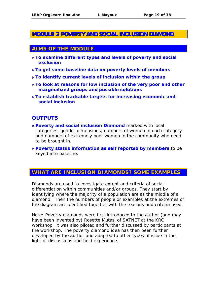# **MODULE 2 POVERTY AND SOCIAL INCLUSION DIAMOND**

### **AIMS OF THE MODULE**

- *To examine different types and levels of poverty and social exclusion*
- *To get some baseline data on poverty levels of members*
- *To identify current levels of inclusion within the group*
- *To look at reasons for low inclusion of the very poor and other marginalized groups and possible solutions*
- *To establish trackable targets for increasing economic and social inclusion*

# *OUTPUTS*

- *Poverty and social inclusion Diamond* marked with local categories, gender dimensions, numbers of women in each category and numbers of extremely poor women in the community who need to be brought in.
- *Poverty status information as self reported by members* to be keyed into baseline.

### **WHAT ARE INCLUSION DIAMONDS? SOME EXAMPLES**

Diamonds are used to investigate extent and criteria of social differentiation within communities and/or groups. They start by identifying where the majority of a population are as the middle of a diamond. Then the numbers of people or examples at the extremes of the diagram are identified together with the reasons and criteria used.

Note: Poverty diamonds were first introduced to the author (and may have been invented by) Rosette Mutasi of SATNET at the KRC workshop. It was also piloted and further discussed by participants at the workshop. The poverty diamond idea has then been further developed by the author and adapted to other types of issue in the light of discussions and field experience.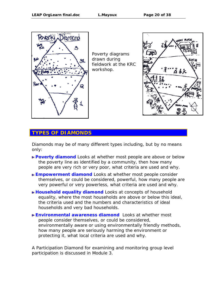

Poverty diagrams drawn during fieldwork at the KRC workshop.



# **TYPES OF DIAMONDS**

Diamonds may be of many different types including, but by no means only:

- **Poverty diamond** Looks at whether most people are above or below the poverty line as identified by a community, then how many people are very rich or very poor, what criteria are used and why.
- *Empowerment diamond* Looks at whether most people consider themselves, or could be considered, powerful, how many people are very powerful or very powerless, what criteria are used and why.
- *► Household equality diamond* Looks at concepts of household equality, where the most households are above or below this ideal, the criteria used and the numbers and characteristics of ideal households and very bad households.
- *Environmental awareness diamond* Looks at whether most people consider themselves, or could be considered, environmentally aware or using environmentally friendly methods, how many people are seriously harming the environment or protecting it, what local criteria are used and why.

A Participation Diamond for examining and monitoring group level participation is discussed in Module 3.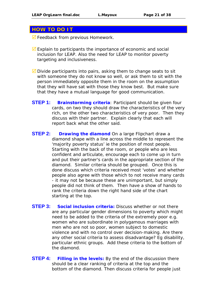### **HOW TO DO IT**

 $\blacksquare$  Feedback from previous Homework.

- $\overline{\mathbf{y}}$  Explain to participants the importance of economic and social inclusion for LEAP. Also the need for LEAP to monitor poverty targeting and inclusiveness.
- $\blacksquare$  Divide participants into pairs, asking them to change seats to sit with someone they do not know so well, or ask them to sit with the person immediately opposite them in the room on the assumption that they will have sat with those they know best. But make sure that they have a mutual language for good communication.
- **STEP 1:** *Brainstorming criteria*: Participant should be given four cards, on two they should draw the characteristics of the very rich, on the other two characteristics of very poor. Then they discuss with their partner. Explain clearly that each will report back what the other said.
- **STEP 2:** *Drawing the diamond* On a large Flipchart draw a diamond shape with a line across the middle to represent the 'majority poverty status' ie the position of most people. Starting with the back of the room, or people who are less confident and articulate, encourage each to come up in turn and put their partner's cards in the appropriate section of the diamond. Similar criteria should be grouped. Once this is done discuss which criteria received most 'votes' and whether people also agree with those which to not receive many cards - it may not be because these are unimportant, but simply people did not think of them. Then have a show of hands to rank the criteria down the right hand side of the chart starting at the top.
- **STEP 3:** *Social inclusion criteria:* Discuss whether or not there are any particular gender dimensions to poverty which might need to be added to the criteria of the extremely poor e.g. women who are subordinate in polygamous marriages with men who are not so poor, women subject to domestic violence and with no control over decision-making. Are there any other social criteria to assess disadvantage? Eg disability, particular ethnic groups. Add these criteria to the bottom of the diamond.
- **STEP 4:** Filling in the levels: By the end of the discussion there should be a clear ranking of criteria at the top and the bottom of the diamond. Then discuss criteria for people just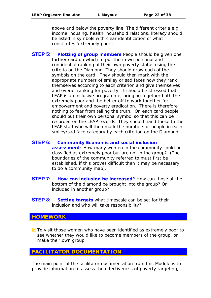above and below the poverty line. The different criteria e.g. income, housing, health, household relations, literacy should be listed in symbols with clear identification of what constitutes 'extremely poor'.

**STEP 5:** *Plotting of group members* People should be given one further card on which to put their own personal and confidential ranking of their own poverty status using the criteria on the Diamond. They should draw each of the symbols on the card. They should then mark with the appropriate numbers of smiley or sad faces how they rank themselves according to each criterion and give themselves and overall ranking for poverty. It should be stressed that LEAP is an inclusive programme, bringing together both the extremely poor and the better off to work together for empowerment and poverty eradication. There is therefore nothing to fear from telling the truth. On each card people should put their own personal symbol so that this can be recorded on the LEAP records. They should hand these to the LEAP staff who will then mark the numbers of people in each smiley/sad face category by each criterion on the Diamond.

#### **STEP 6:** *Community Economic and social inclusion*

*assessment*: How many women in the community could be classified as extremely poor but are not in the group? (The boundaries of the community referred to must first be established, if this proves difficult then it may be necessary to do a community map).

- **STEP 7:** *How can inclusion be increased?* How can those at the bottom of the diamond be brought into the group? Or included in another group?
- **STEP 8:** *Setting targets* what timescale can be set for their inclusion and who will take responsibility?

# **HOMEWORK**

 $\blacksquare$  To visit those women who have been identified as extremely poor to see whether they would like to become members of the group, or make their own group.

#### **FACILITATOR DOCUMENTATION**

The main point of the facilitator documentation from this Module is to provide information to assess the effectiveness of poverty targeting,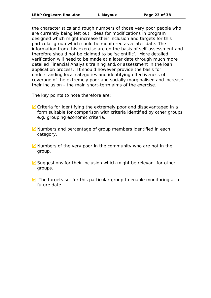the characteristics and rough numbers of those very poor people who are currently being left out, ideas for modifications in program designed which might increase their inclusion and targets for this particular group which could be monitored as a later date. The information from this exercise are on the basis of self-assessment and therefore should not be claimed to be 'scientific'. More detailed verification will need to be made at a later date through much more detailed Financial Analysis training and/or assessment in the loan application process. It should however provide the basis for understanding local categories and identifying effectiveness of coverage of the extremely poor and socially marginalised and increase their inclusion - the main short-term aims of the exercise.

The key points to note therefore are:

- $\overline{\mathbf{y}}$  Criteria for identifying the extremely poor and disadvantaged in a form suitable for comparison with criteria identified by other groups e.g. grouping economic criteria.
- $\blacksquare$  Numbers and percentage of group members identified in each category.
- $\overline{9}$  Numbers of the very poor in the community who are not in the group.
- $\overline{\mathbf{y}}$  Suggestions for their inclusion which might be relevant for other groups.
- $\overline{9}$  The targets set for this particular group to enable monitoring at a future date.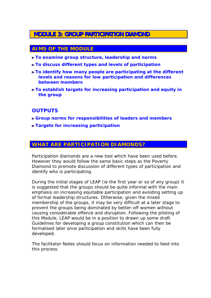# **MODULE 3: GROUP PARTICIPATION DIAMOND**

# **AIMS OF THE MODULE**

- *To examine group structure, leadership and norms*
- *To discuss different types and levels of participation*
- *To identify how many people are participating at the different levels and reasons for low participation and differences between members*
- *To establish targets for increasing participation and equity in the group*

# *OUTPUTS*

- *Group norms for responsibilities of leaders and members*
- *Targets for increasing participation*

# **WHAT ARE PARTICIPATION DIAMONDS?**

Participation diamonds are a new tool which have been used before. However they would follow the same basic steps as the Poverty Diamond to promote discussion of different types of participation and identify who is participating.

During the initial stages of LEAP (ie the first year or so of any group) it is suggested that the groups should be quite informal with the main emphasis on increasing equitable participation and avoiding setting up of formal leadership structures. Otherwise, given the mixed membership of the groups, it may be very difficult at a later stage to prevent the groups being dominated by better-off women without causing considerable offence and disruption. Following the piloting of this Module, LEAP would be in a position to drawn up some draft Guidelines for developing a group constitution which can then be formalised later once participation and skills have been fully developed.

The facilitator Notes should focus on information needed to feed into this process.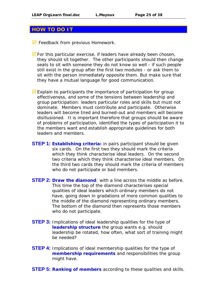### **HOW TO DO IT**

 $\blacksquare$  Feedback from previous Homework.

 $\blacksquare$  For this particular exercise, if leaders have already been chosen, they should sit together. The other participants should then change seats to sit with someone they do not know so well - if such people still exist in the group after the first two modules - or ask them to sit with the person immediately opposite them. But make sure that they have a mutual language for good communication.

 $\overline{\mathbf{9}}$  Explain to participants the importance of participation for group effectiveness, and some of the tensions between leadership and group participation: leaders particular roles and skills but must not dominate. Members must contribute and participate. Otherwise leaders will become tired and burned-out and members will become disillusioned. It is important therefore that groups should be aware of problems of participation, identified the types of participation it to the members want and establish appropriate guidelines for both leaders and members.

- **STEP 1:** *Establishing criteria:* in pairs participant should be given six cards. On the first two they should mark the criteria which they think characterise ideal leaders. On the second two criteria which they think characterise ideal members. On the third two cards they should mark the criteria of members who do not participate or bad members.
- **STEP 2:** *Draw the diamond*: with a line across the middle as before. This time the top of the diamond characterises special qualities of ideal leaders which ordinary members do not have, going down in gradations of more common qualities to the middle of the diamond representing ordinary members. The bottom of the diamond then represents those members who do not participate.
- **STEP 3:** Implications of ideal leadership qualities for the type of *leadership structure* the group wants e.g. should leadership be rotated, how often, what sort of training might be needed?
- **STEP 4:** Implications of ideal membership qualities for the type of *membership requirements* and responsibilities the group might have.
- **STEP 5: Ranking of members** according to these qualities and skills.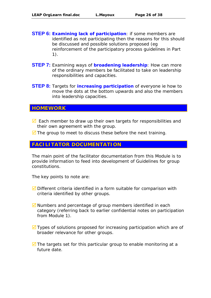- **STEP 6:** *Examining lack of participation*: if some members are identified as not participating then the reasons for this should be discussed and possible solutions proposed (eg reinforcement of the participatory process guidelines in Part 1).
- **STEP 7:** Examining ways of *broadening leadership*: How can more of the ordinary members be facilitated to take on leadership responsibilities and capacities.
- **STEP 8:** Targets for *increasing participation* of everyone ie how to move the dots at the bottom upwards and also the members into leadership capacities.

### **HOMEWORK**

- $\overline{\mathbf{y}}$  Each member to draw up their own targets for responsibilities and their own agreement with the group.
- $\blacksquare$  The group to meet to discuss these before the next training.

#### **FACILITATOR DOCUMENTATION**

The main point of the facilitator documentation from this Module is to provide information to feed into development of Guidelines for group constitutions.

The key points to note are:

- $\overline{9}$  Different criteria identified in a form suitable for comparison with criteria identified by other groups.
- $\blacksquare$  Numbers and percentage of group members identified in each category (referring back to earlier confidential notes on participation from Module 1).
- $\overline{9}$  Types of solutions proposed for increasing participation which are of broader relevance for other groups.
- $\overline{9}$  The targets set for this particular group to enable monitoring at a future date.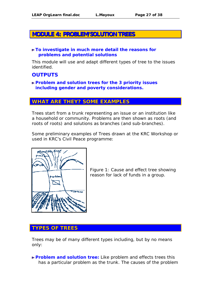# **MODULE 4: PROBLEM/SOLUTION TREES**

#### *To investigate in much more detail the reasons for problems and potential solutions*

This module will use and adapt different types of tree to the issues identified.

# *OUTPUTS*

#### *Problem and solution trees for the 3 priority issues including gender and poverty considerations.*

# **WHAT ARE THEY? SOME EXAMPLES**

Trees start from a trunk representing an issue or an institution like a household or community. Problems are then shown as roots (and roots of roots) and solutions as branches (and sub-branches).

Some preliminary examples of Trees drawn at the KRC Workshop or used in KRC's Civil Peace programme:



Figure 1: Cause and effect tree showing reason for lack of funds in a group.

# **TYPES OF TREES**

Trees may be of many different types including, but by no means only:

**Problem and solution tree:** Like problem and effects trees this has a particular problem as the trunk. The causes of the problem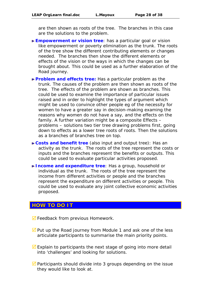are then shown as roots of the tree. The branches in this case are the solutions to the problem.

- **Empowerment or vision tree**: has a particular goal or vision like empowerment or poverty elimination as the trunk. The roots of the tree show the different contributing elements or changes needed. The branches then show the different elements or effects of the vision or the ways in which the changes can be brought about. This could be used as a further elaboration of the Road journey.
- **Problem and effects tree:** Has a particular problem as the trunk. The causes of the problem are then shown as roots of the tree. The effects of the problem are shown as branches. This could be used to examine the importance of particular issues raised and in order to highlight the types of argument which might be used to convince other people eg of the necessity for women to have a greater say in decision-making examing the reasons why women do not have a say, and the effects on the family. A further variation might be a composite Effects – problems – solutions two tier tree drawing problems first, going down to effects as a lower tree roots of roots. Then the solutions as a branches of branches tree on top.
- **Costs and benefit tree** (also input and output tree): Has an activity as the trunk. The roots of the tree represent the costs or inputs and the branches represent the benefits or outputs. This could be used to evaluate particular activities proposed.
- **Income and expenditure tree:** Has a group, household or individual as the trunk. The roots of the tree represent the income from different activities or people and the branches represent the expenditure on different activities or people. This could be used to evaluate any joint collective economic activities proposed.

### **HOW TO DO IT**

- $\blacksquare$  Feedback from previous Homework.
- $\blacksquare$  Put up the Road journey from Module 1 and ask one of the less articulate participants to summarise the main priority points.
- $\blacksquare$  Explain to participants the next stage of going into more detail into 'challenges' and looking for solutions.
- $\blacksquare$  Participants should divide into 3 groups depending on the issue they would like to look at.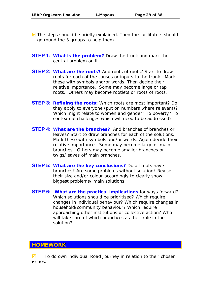- $\blacksquare$  The steps should be briefly explained. Then the facilitators should go round the 3 groups to help them.
- **STEP 1:** *What is the problem?* Draw the trunk and mark the central problem on it.
- **STEP 2:** *What are the roots?* And roots of roots? Start to draw roots for each of the causes or inputs to the trunk. Mark these with symbols and/or words. Then decide their relative importance. Some may become large or tap roots. Others may become rootlets or roots of roots.
- **STEP 3:** *Refining the roots:* Which roots are most important? Do they apply to everyone (put on numbers where relevant)? Which might relate to women and gender? To poverty? To contextual challenges which will need to be addressed?
- **STEP 4:** *What are the branches?* And branches of branches or leaves? Start to draw branches for each of the solutions. Mark these with symbols and/or words. Again decide their relative importance. Some may become large or main branches. Others may become smaller branches or twigs/leaves off main branches.
- **STEP 5:** *What are the key conclusions?* Do all roots have branches? Are some problems without solution? Revise their size and/or colour accordingly to clearly show biggest problems/ main solutions.
- **STEP 6:** *What are the practical implications* for ways forward? Which solutions should be prioritised? Which require changes in individual behaviour? Which require changes in household/community behaviour? Which require approaching other institutions or collective action? Who will take care of which branch/es as their role in the solution?

# **HOMEWORK**

 $\blacksquare$  To do own individual Road Journey in relation to their chosen issues.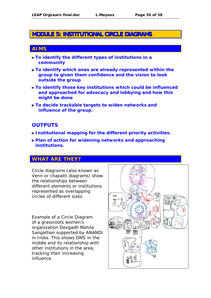# **MODULE 5: INSTITUTIONAL CIRCLE DIAGRAMS**

# **AIMS**

- *To identify the different types of institutions in a community*
- *To identify which ones are already represented within the group to given them confidence and the vision to look outside the group*
- *To identify those key institutions which could be influenced and approached for advocacy and lobbying and how this might be done*
- *To decide trackable targets to widen networks and influence of the group.*

# *OUTPUTS*

- *Institutional mapping for the different priority activities.*
- *Plan of action for widening networks and approaching institutions.*

# **WHAT ARE THEY?**

Circle diagrams (also known as Venn or chapatti diagrams) show the relationships between different elements or institutions represented as overlapping circles of different sizes.

Example of a Circle Diagram of a grassroots women's organization Devgadh Mahila Sangathan supported by ANANDI in India. This shows DMS in the middle and its relationship with other institutions in the area, tracking their increasing influence.

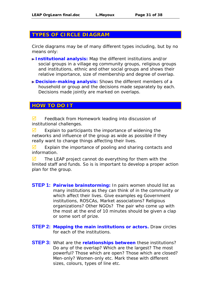# **TYPES OF CIRCLE DIAGRAM**

Circle diagrams may be of many different types including, but by no means only:

- *Institutional analysis:* Map the different institutions and/or social groups in a village eg community groups, religious groups and institutions, ethnic and other social groups and shows their relative importance, size of membership and degree of overlap.
- *Decision-making analysis:* Shows the different members of a household or group and the decisions made separately by each. Decisions made jointly are marked on overlaps.

# **HOW TO DO IT**

 $\triangledown$  Feedback from Homework leading into discussion of institutional challenges.

 $\triangledown$  Explain to participants the importance of widening the networks and influence of the group as wide as possible if they really want to change things affecting their lives.

 $\triangledown$  Explain the importance of pooling and sharing contacts and information.

 $\overline{5}$  The LEAP project cannot do everything for them with the limited staff and funds. So is is important to develop a proper action plan for the group.

- **STEP 1: Pairwise brainstorming:** In pairs women should list as many institutions as they can think of in the community or which affect their lives. Give examples eg Government institutions, ROSCAs, Market associations? Religious organizations? Other NGOs? The pair who come up with the most at the end of 10 minutes should be given a clap or some sort of prize.
- **STEP 2:** *Mapping the main institutions or actors.* Draw circles for each of the institutions.
- **STEP 3:** What are the *relationships between* these institutions? Do any of the overlap? Which are the largest? The most powerful? Those which are open? Those which are closed? Men-only? Women-only etc. Mark these with different sizes, colours, types of line etc.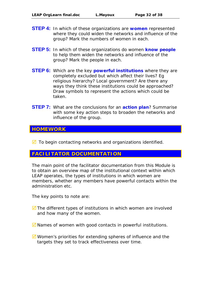- **STEP 4:** In which of these organizations are *women* represented where they could widen the networks and influence of the group? Mark the numbers of women in each.
- **STEP 5:** In which of these organizations do women *know people* to help them widen the networks and influence of the group? Mark the people in each.
- **STEP 6:** Which are the key *powerful institutions* where they are completely excluded but which affect their lives? Eg religious hierarchy? Local government? Are there any ways they think these institutions could be approached? Draw symbols to represent the actions which could be taken.
- **STEP 7:** What are the conclusions for an *action plan*? Summarise with some key action steps to broaden the networks and influence of the group.

#### **HOMEWORK**

 $\blacksquare$  To begin contacting networks and organizations identified.

# **FACILITATOR DOCUMENTATION**

The main point of the facilitator documentation from this Module is to obtain an overview map of the institutional context within which LEAP operates, the types of institutions in which women are members, whether any members have powerful contacts within the administration etc.

The key points to note are:

- $\overline{9}$  The different types of institutions in which women are involved and how many of the women.
- $\blacksquare$  Names of women with good contacts in powerful institutions.
- $\blacksquare$  Women's priorities for extending spheres of influence and the targets they set to track effectiveness over time.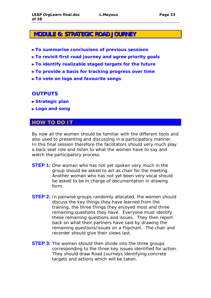# **MODULE 6: STRATEGIC ROAD JOURNEY**

- *To summarise conclusions of previous sessions*
- *To revisit first road journey and agree priority goals*
- *To identify realizable staged targets for the future*
- *To provide a basis for tracking progress over time*
- *To vote on logo and favourite songs*

### *OUTPUTS*

- *Strategic plan*
- *Logo and song*

#### **HOW TO DO IT**

By now all the women should be familiar with the different tools and also used to presenting and discussing in a participatory manner. In this final session therefore the facilitators should very much play a back seat role and listen to what the women have to say and watch the participatory process.

- **STEP 1:** One woman who has not yet spoken very much in the group should be asked to act as chair for the meeting. Another woman who has not yet been very vocal should be asked to be in charge of documentation in drawing form.
- **STEP 2:** In pairwise groups randomly allocated, the women should discuss the key things they have learned from the training, the three things they enjoyed most and three remaining questions they have. Everyone must identify these remaining questions and issues. They then report back on what their partners have said by drawing the remaining questions/issues on a Flipchart. The chair and recorder should give their views last.
- **STEP 3:** The women should then divide into the three groups corresponding to the three key issues identified for action. They should draw Road Journeys identifying concrete targets and actions which will be taken.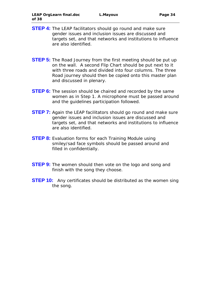- **STEP 4:** The LEAP facilitators should go round and make sure gender issues and inclusion issues are discussed and targets set, and that networks and institutions to influence are also identified.
- **STEP 5:** The Road Journey from the first meeting should be put up on the wall. A second Flip Chart should be put next to it with three roads and divided into four columns. The three Road journey should then be copied onto this master plan and discussed in plenary.
- **STEP 6:** The session should be chaired and recorded by the same women as in Step 1. A microphone must be passed around and the guidelines participation followed.
- **STEP 7:** Again the LEAP facilitators should go round and make sure gender issues and inclusion issues are discussed and targets set, and that networks and institutions to influence are also identified.
- **STEP 8:** Evaluation forms for each Training Module using smiley/sad face symbols should be passed around and filled in confidentially.
- **STEP 9:** The women should then vote on the logo and song and finish with the song they choose.
- **STEP 10:** Any certificates should be distributed as the women sing the song.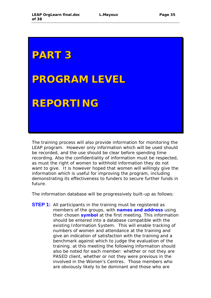

The training process will also provide information for monitoring the LEAP program. However only information which will be used should be recorded, and the use should be clear before spending time recording. Also the confidentiality of information must be respected, as must the right of women to withhold information they do not want to give. It is however hoped that women will willingly give the information which is useful for improving the program, including demonstrating its effectiveness to funders to secure further funds in future.

The information database will be progressively built-up as follows:

**STEP 1:** All participants in the training must be registered as members of the groups, with *names and address* using their chosen *symbol* at the first meeting. This information should be entered into a database compatible with the existing Information System. This will enable tracking of numbers of women and attendance at the training and give an indication of satisfaction with the training and a benchmark against which to judge the evaluation of the training. at this meeting the following information should also be noted for each member: whether or not they are PASED client, whether or not they were previous in the involved in the Women's Centres. Those members who are obviously likely to be dominant and those who are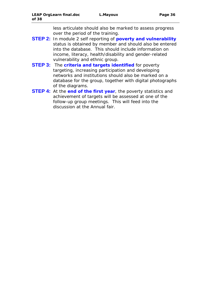less articulate should also be marked to assess progress over the period of the training.

- **STEP 2:** In module 2 self reporting of *poverty and vulnerability* status is obtained by member and should also be entered into the database. This should include information on income, literacy, health/disability and gender-related vulnerability and ethnic group.
- **STEP 3:** The *criteria and targets identified* for poverty targeting, increasing participation and developing networks and institutions should also be marked on a database for the group, together with digital photographs of the diagrams.
- **STEP 4:** At the *end of the first year*, the poverty statistics and achievement of targets will be assessed at one of the follow-up group meetings. This will feed into the discussion at the Annual fair.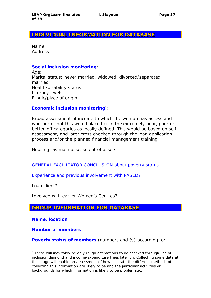# **INDIVIDUAL INFORMATION FOR DATABASE**

Name Address

#### *Social inclusion monitoring*:

Age: Marital status: never married, widowed, divorced/separated, married Health/disability status: Literacy level: Ethnic/place of origin:

#### *Economic inclusion monitoring*<sup>2</sup> :

Broad assessment of income to which the woman has access and whether or not this would place her in the extremely poor, poor or better-off categories as locally defined. This would be based on selfassessment, and later cross checked through the loan application process and/or the planned financial management training.

Housing: as main assessment of assets.

GENERAL FACILITATOR CONCLUSION about poverty status .

Experience and previous involvement with PASED?

Loan client?

Involved with earlier Women's Centres?

**GROUP INFORMATION FOR DATABASE**

*Name, location* 

-

*Number of members* 

**Poverty status of members** (numbers and %) according to:

 $2$  These will inevitably be only rough estimations to be checked through use of inclusion diamond and income/expenditure trees later on. Collecting some data at this stage will enable an assessment of how accurate the different methods of collecting this information are likely to be and the particular activities or backgrounds for which information is likely to be problematic.